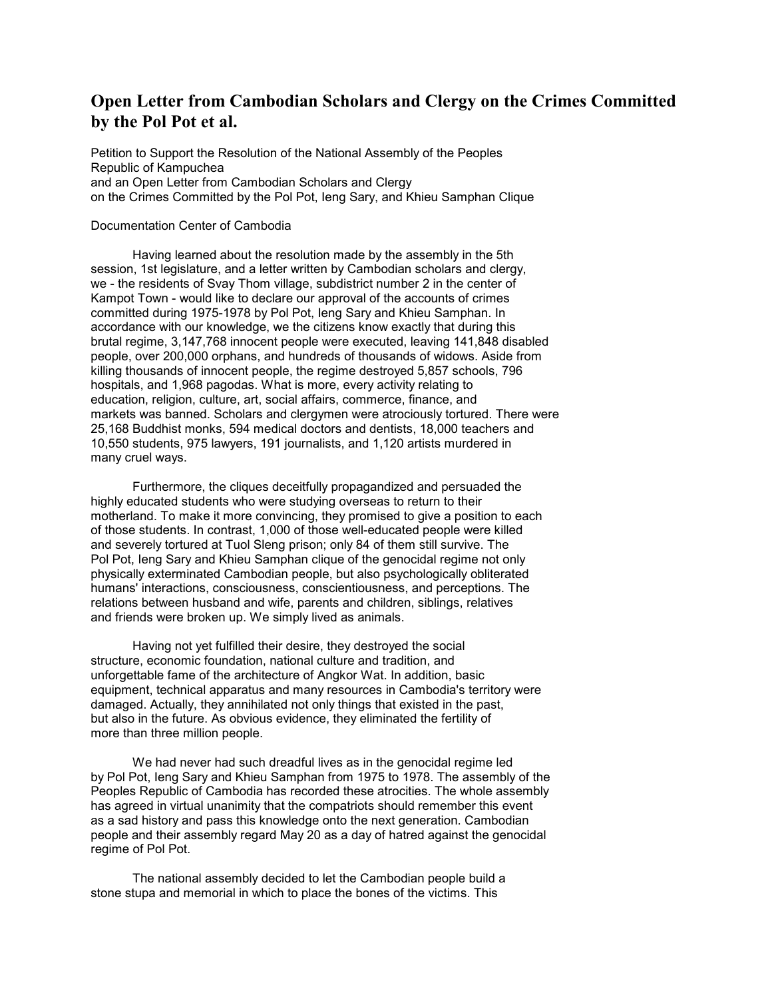## Open Letter from Cambodian Scholars and Clergy on the Crimes Committed by the Pol Pot et al.

Petition to Support the Resolution of the National Assembly of the Peoples Republic of Kampuchea and an Open Letter from Cambodian Scholars and Clergy on the Crimes Committed by the Pol Pot, Ieng Sary, and Khieu Samphan Clique

## Documentation Center of Cambodia

 Having learned about the resolution made by the assembly in the 5th session, 1st legislature, and a letter written by Cambodian scholars and clergy, we - the residents of Svay Thom village, subdistrict number 2 in the center of Kampot Town - would like to declare our approval of the accounts of crimes committed during 1975-1978 by Pol Pot, Ieng Sary and Khieu Samphan. In accordance with our knowledge, we the citizens know exactly that during this brutal regime, 3,147,768 innocent people were executed, leaving 141,848 disabled people, over 200,000 orphans, and hundreds of thousands of widows. Aside from killing thousands of innocent people, the regime destroyed 5,857 schools, 796 hospitals, and 1,968 pagodas. What is more, every activity relating to education, religion, culture, art, social affairs, commerce, finance, and markets was banned. Scholars and clergymen were atrociously tortured. There were 25,168 Buddhist monks, 594 medical doctors and dentists, 18,000 teachers and 10,550 students, 975 lawyers, 191 journalists, and 1,120 artists murdered in many cruel ways.

 Furthermore, the cliques deceitfully propagandized and persuaded the highly educated students who were studying overseas to return to their motherland. To make it more convincing, they promised to give a position to each of those students. In contrast, 1,000 of those well-educated people were killed and severely tortured at Tuol Sleng prison; only 84 of them still survive. The Pol Pot, Ieng Sary and Khieu Samphan clique of the genocidal regime not only physically exterminated Cambodian people, but also psychologically obliterated humans' interactions, consciousness, conscientiousness, and perceptions. The relations between husband and wife, parents and children, siblings, relatives and friends were broken up. We simply lived as animals.

 Having not yet fulfilled their desire, they destroyed the social structure, economic foundation, national culture and tradition, and unforgettable fame of the architecture of Angkor Wat. In addition, basic equipment, technical apparatus and many resources in Cambodia's territory were damaged. Actually, they annihilated not only things that existed in the past, but also in the future. As obvious evidence, they eliminated the fertility of more than three million people.

 We had never had such dreadful lives as in the genocidal regime led by Pol Pot, Ieng Sary and Khieu Samphan from 1975 to 1978. The assembly of the Peoples Republic of Cambodia has recorded these atrocities. The whole assembly has agreed in virtual unanimity that the compatriots should remember this event as a sad history and pass this knowledge onto the next generation. Cambodian people and their assembly regard May 20 as a day of hatred against the genocidal regime of Pol Pot.

 The national assembly decided to let the Cambodian people build a stone stupa and memorial in which to place the bones of the victims. This